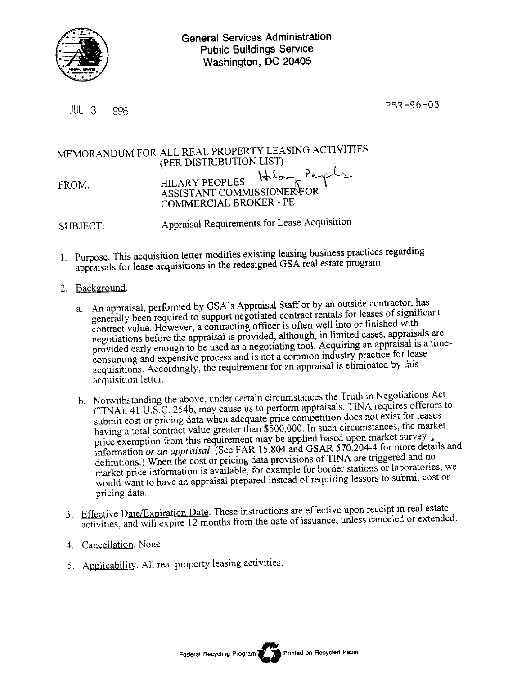

ill 3 Igg6. Per-96-03

## MEMORANDUM FOR ALL REAL PROPERTY LEASING ACTIVITIES (PER DISTRIBUTION LIST)  $H$ long Per FROM: HILARY PEOPLES ASSISTANT COMMISSIONER FOR COMMERCIAL BROKER - PE

SUBJECT: Appraisal Requirements for Lease Acquisition

- 1. Purpose. This acquisition letter modifies existing leasing business practices regarding appraisals for lease acquisitions in the redesigned GSA real estate program.
- 2. Background.
	- a. An appraisal, performed by GSA's Appraisal Staff or by an outside contractor, has generally been required to support negotiated contract rentals for leases of significant contract value. However, a contracting officer is often well into or finished with negotiations before the appraisal is provided, although, in limited cases, appraisals are provided early enough to be used as a negotiating tool. Acquiring an appraisal is a timeconsuming and expensive process and is not a common industry practice for lease acquisitions. Accordingly, the requirement for an appraisal is eliminated by this acquisition letter.
	- b. Notwithstanding the above, under certain circumstances the Truth in Negotiations Act (TINA), 41 U.S.C. 254b, may cause us to perform appraisals. TINA requires offerors to submit cost or pricing data when adequate price competition does not exist for leases having a total contract value greater than \$500,000. In such circumstances, the market price exemption from this requirement may be applied based upon market survey. information *or an appraisal.* (See FAR 15.804 and GSAR 570.204-4 for more details and definitions.) When the cost or pricing data provisions of TINA are triggered and no market price information is available, for example for border stations or laboratories, we would want to have an appraisal prepared instead of requiring lessors to submit cost or pricing data.
	- 3. Effective Date/Expiration Date. These instructions are effective upon receipt in real estate activities, and will expire 12 months from the date of issuance, unless canceled or extended.
	- 4. Cancellation. None.
	- 5. Applicability. All real property leasing activities.